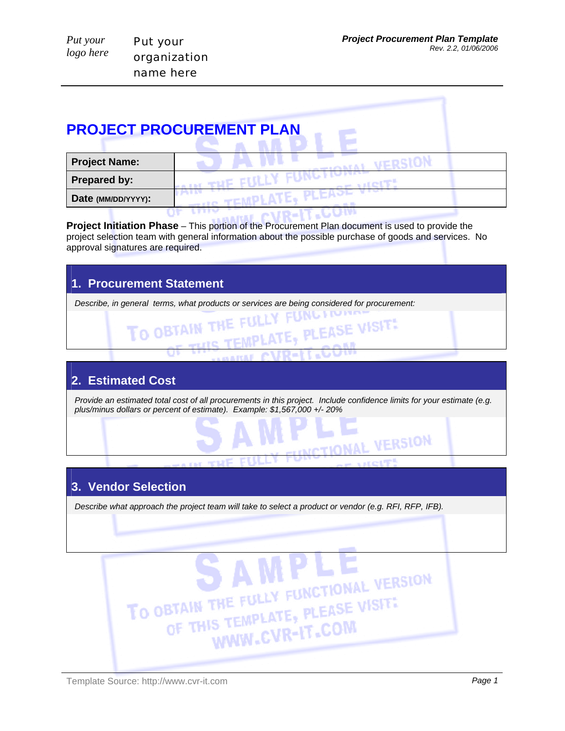VERSION

| Put your  | Put your     |  |
|-----------|--------------|--|
| logo here | organization |  |
|           | name here    |  |

# **PROJECT PROCUREMENT PLAN**

| <b>Project Name:</b> |  |
|----------------------|--|
| <b>Prepared by:</b>  |  |
| Date (MM/DD/YYYY):   |  |
|                      |  |

**Project Initiation Phase** – This portion of the Procurement Plan document is used to provide the project selection team with general information about the possible purchase of goods and services. No approval signatures are required.

# **1. Procurement Statement**

*Describe, in general terms, what products or services are being considered for procurement: Description of the services are being considered for procurement:* 

TO OBTAIN THE FULLY

#### **2. Estimated Cost**

*Provide an estimated total cost of all procurements in this project. Include confidence limits for your estimate (e.g. plus/minus dollars or percent of estimate). Example: \$1,567,000 +/- 20%*

THE FULLY FUNCTION VISIT!

### **3. Vendor Selection**

*Describe what approach the project team will take to select a product or vendor (e.g. RFI, RFP, IFB).* 

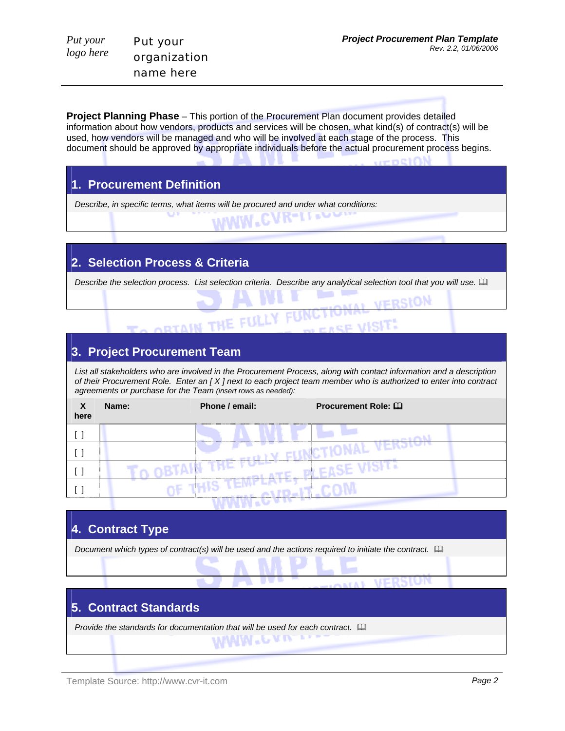**VEDSION** 

**Project Planning Phase** – This portion of the Procurement Plan document provides detailed information about how vendors, products and services will be chosen, what kind(s) of contract(s) will be used, how vendors will be managed and who will be involved at each stage of the process. This document should be approved by appropriate individuals before the actual procurement process begins.

#### **1. Procurement Definition**

Put your

organization name here

*Put your logo here* 

*Describe, in specific terms, what items will be procured and under what conditions:* 

#### **2. Selection Process & Criteria**

*Describe the selection process. List selection criteria. Describe any analytical selection tool that you will use.*  

ORTAIN THE FULLY FUNCTION

- 32

#### **3. Project Procurement Team**

List all stakeholders who are involved in the Procurement Process, along with contact information and a description *of their Procurement Role. Enter an [ X ] next to each project team member who is authorized to enter into contract agreements or purchase for the Team (insert rows as needed):*

| X<br>here | Name: | Phone / email: | Procurement Role: Q |
|-----------|-------|----------------|---------------------|
|           |       |                |                     |
|           |       |                |                     |
|           |       |                |                     |
|           |       |                |                     |
|           |       |                |                     |

| 4. Contract Type                                                                                              |  |  |  |  |
|---------------------------------------------------------------------------------------------------------------|--|--|--|--|
| Document which types of contract(s) will be used and the actions required to initiate the contract. $\square$ |  |  |  |  |
|                                                                                                               |  |  |  |  |
|                                                                                                               |  |  |  |  |
| <b>5. Contract Standards</b>                                                                                  |  |  |  |  |
| Provide the standards for documentation that will be used for each contract. [11]                             |  |  |  |  |
| <b>MMM</b> *CAUSES                                                                                            |  |  |  |  |